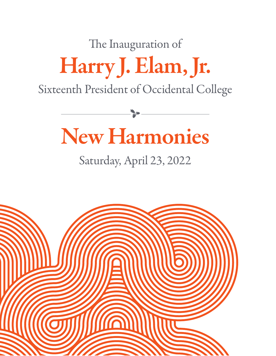The Inauguration of Harry J. Elam, Jr.

Sixteenth President of Occidental College

# New Harmonies

## Saturday, April 23, 2022

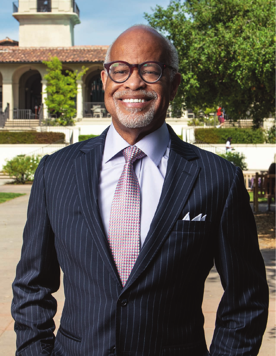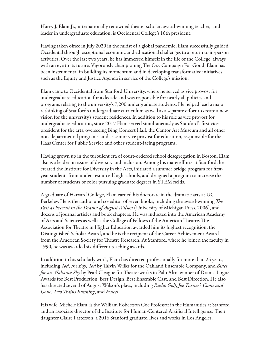Harry J. Elam Jr., internationally renowned theater scholar, award-winning teacher, and leader in undergraduate education, is Occidental College's 16th president.

Having taken office in July 2020 in the midst of a global pandemic, Elam successfully guided Occidental through exceptional economic and educational challenges to a return to in-person activities. Over the last two years, he has immersed himself in the life of the College, always with an eye to its future. Vigorously championing The Oxy Campaign For Good, Elam has been instrumental in building its momentum and in developing transformative initiatives such as the Equity and Justice Agenda in service of the College's mission.

Elam came to Occidental from Stanford University, where he served as vice provost for undergraduate education for a decade and was responsible for nearly all policies and programs relating to the university's 7,200 undergraduate students. He helped lead a major rethinking of Stanford's undergraduate curriculum as well as a separate effort to create a new vision for the university's student residences. In addition to his role as vice provost for undergraduate education, since 2017 Elam served simultaneously as Stanford's first vice president for the arts, overseeing Bing Concert Hall, the Cantor Art Museum and all other non-departmental programs, and as senior vice provost for education, responsible for the Haas Center for Public Service and other student-facing programs.

Having grown up in the turbulent era of court-ordered school desegregation in Boston, Elam also is a leader on issues of diversity and inclusion. Among his many efforts at Stanford, he created the Institute for Diversity in the Arts, initiated a summer bridge program for firstyear students from under-resourced high schools, and designed a program to increase the number of students of color pursuing graduate degrees in STEM fields.

A graduate of Harvard College, Elam earned his doctorate in the dramatic arts at UC Berkeley. He is the author and co-editor of seven books, including the award-winning The Past as Present in the Drama of August Wilson (University of Michigan Press, 2006), and dozens of journal articles and book chapters. He was inducted into the American Academy of Arts and Sciences as well as the College of Fellows of the American Theatre. The Association for Theatre in Higher Education awarded him its highest recognition, the Distinguished Scholar Award, and he is the recipient of the Career Achievement Award from the American Society for Theatre Research. At Stanford, where he joined the faculty in 1990, he was awarded six different teaching awards.

In addition to his scholarly work, Elam has directed professionally for more than 25 years, including Tod, the Boy, Tod by Talvin Wilks for the Oakland Ensemble Company, and Blues for an Alabama Sky by Pearl Cleague for Theaterworks in Palo Alto, winner of Drama-Logue Awards for Best Production, Best Design, Best Ensemble Cast, and Best Direction. He also has directed several of August Wilson's plays, including Radio Golf, Joe Turner's Come and Gone, Two Trains Running, and Fences.

His wife, Michele Elam, is the William Robertson Coe Professor in the Humanities at Stanford and an associate director of the Institute for Human-Centered Artificial Intelligence. Their daughter Claire Patterson, a 2016 Stanford graduate, lives and works in Los Angeles.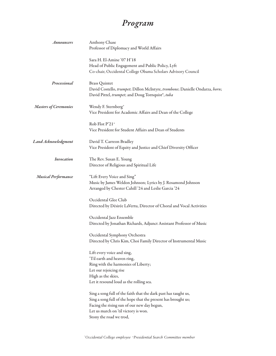## Program

| Announcers                   | Anthony Chase<br>Professor of Diplomacy and World Affairs                                                                                                                                                                                          |
|------------------------------|----------------------------------------------------------------------------------------------------------------------------------------------------------------------------------------------------------------------------------------------------|
|                              | Sara H. El-Amine '07 H'18<br>Head of Public Engagement and Public Policy, Lyft<br>Co-chair, Occidental College Obama Scholars Advisory Council                                                                                                     |
| Processional                 | <b>Brass Quintet</b><br>David Costello, trumpet; Dillon McIntyre, trombone; Danielle Ondarza, horn;<br>David Pittel, trumpet; and Doug Tornquist*, tuba                                                                                            |
| <b>Masters of Ceremonies</b> | Wendy F. Sternberg <sup>+</sup><br>Vice President for Academic Affairs and Dean of the College                                                                                                                                                     |
|                              | Rob Flot P'21+<br>Vice President for Student Affairs and Dean of Students                                                                                                                                                                          |
| <b>Land Acknowledgment</b>   | David T. Carreon Bradley<br>Vice President of Equity and Justice and Chief Diversity Officer                                                                                                                                                       |
| <b>Invocation</b>            | The Rev. Susan E. Young<br>Director of Religious and Spiritual Life                                                                                                                                                                                |
| <b>Musical Performance</b>   | "Lift Every Voice and Sing"<br>Music by James Weldon Johnson; Lyrics by J. Rosamond Johnson<br>Arranged by Chester Cahill '24 and Leslie Garcia '24                                                                                                |
|                              | Occidental Glee Club<br>Directed by Désirée LaVertu, Director of Choral and Vocal Activities                                                                                                                                                       |
|                              | Occidental Jazz Ensemble<br>Directed by Jonathan Richards, Adjunct Assistant Professor of Music                                                                                                                                                    |
|                              | Occidental Symphony Orchestra<br>Directed by Chris Kim, Choi Family Director of Instrumental Music                                                                                                                                                 |
|                              | Lift every voice and sing,<br>'Til earth and heaven ring,<br>Ring with the harmonies of Liberty;<br>Let our rejoicing rise<br>High as the skies,<br>Let it resound loud as the rolling sea.                                                        |
|                              | Sing a song full of the faith that the dark past has taught us,<br>Sing a song full of the hope that the present has brought us;<br>Facing the rising sun of our new day begun,<br>Let us march on 'til victory is won.<br>Stony the road we trod, |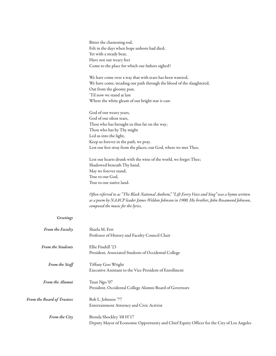|                                   | Bitter the chastening rod,                                                                                                        |  |
|-----------------------------------|-----------------------------------------------------------------------------------------------------------------------------------|--|
|                                   | Felt in the days when hope unborn had died;                                                                                       |  |
|                                   | Yet with a steady beat,                                                                                                           |  |
|                                   | Have not our weary feet                                                                                                           |  |
|                                   | Come to the place for which our fathers sighed?                                                                                   |  |
|                                   | We have come over a way that with tears has been watered,                                                                         |  |
|                                   | We have come, treading our path through the blood of the slaughtered,                                                             |  |
|                                   | Out from the gloomy past,                                                                                                         |  |
|                                   | 'Til now we stand at last                                                                                                         |  |
|                                   | Where the white gleam of our bright star is cast.                                                                                 |  |
|                                   | God of our weary years,                                                                                                           |  |
|                                   | God of our silent tears,                                                                                                          |  |
|                                   | Thou who has brought us thus far on the way;                                                                                      |  |
|                                   | Thou who has by Thy might                                                                                                         |  |
|                                   | Led us into the light,                                                                                                            |  |
|                                   | Keep us forever in the path, we pray.                                                                                             |  |
|                                   | Lest our feet stray from the places, our God, where we met Thee,                                                                  |  |
|                                   | Lest our hearts drunk with the wine of the world, we forget Thee;                                                                 |  |
|                                   | Shadowed beneath Thy hand,                                                                                                        |  |
|                                   | May we forever stand,                                                                                                             |  |
|                                   | True to our God,                                                                                                                  |  |
|                                   | True to our native land.                                                                                                          |  |
|                                   | Often referred to as "The Black National Anthem," "Lift Every Voice and Sing" was a hymn written                                  |  |
|                                   | as a poem by NAACP leader James Weldon Johnson in 1900. His brother, John Rosamond Johnson,<br>composed the music for the lyrics. |  |
| Greetings                         |                                                                                                                                   |  |
| <b>From the Faculty</b>           | Sharla M. Fett                                                                                                                    |  |
|                                   | Professor of History and Faculty Council Chair                                                                                    |  |
| From the Students                 | Ellie Findell '23                                                                                                                 |  |
|                                   | President, Associated Students of Occidental College                                                                              |  |
| <b>From the Staff</b>             | Tiffany Goo Wright                                                                                                                |  |
|                                   | Executive Assistant to the Vice President of Enrollment                                                                           |  |
| From the Alumni                   | Tuan Ngo '07                                                                                                                      |  |
|                                   | President, Occidental College Alumni Board of Governors                                                                           |  |
| <b>From the Board of Trustees</b> | Bob L. Johnson '77                                                                                                                |  |
|                                   | Entertainment Attorney and Civic Activist                                                                                         |  |
| From the City                     | Brenda Shockley '68 H'17                                                                                                          |  |
|                                   | Deputy Mayor of Economic Opportunity and Chief Equity Officer for the City of Los Angeles                                         |  |
|                                   |                                                                                                                                   |  |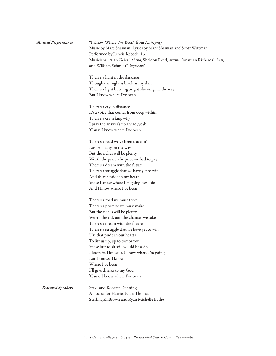| <b>Musical Performance</b> | "I Know Where I've Been" from Hairspray                                       |  |  |  |
|----------------------------|-------------------------------------------------------------------------------|--|--|--|
|                            | Music by Marc Shaiman; Lyrics by Marc Shaiman and Scott Wittman               |  |  |  |
|                            | Performed by Lencia Kebede'16                                                 |  |  |  |
|                            | Musicians: Alan Geier*, piano; Sheldon Reed, drums; Jonathan Richards*, bass; |  |  |  |
|                            | and William Schmidt*, keyboard                                                |  |  |  |
|                            | There's a light in the darkness                                               |  |  |  |
|                            | Though the night is black as my skin                                          |  |  |  |
|                            | There's a light burning bright showing me the way                             |  |  |  |
|                            | But I know where I've been                                                    |  |  |  |
|                            | There's a cry in distance                                                     |  |  |  |
|                            | It's a voice that comes from deep within                                      |  |  |  |
|                            | There's a cry asking why                                                      |  |  |  |
|                            | I pray the answer's up ahead, yeah                                            |  |  |  |
|                            | 'Cause I know where I've been                                                 |  |  |  |
|                            | There's a road we've been travelin'                                           |  |  |  |
|                            | Lost so many on the way                                                       |  |  |  |
|                            | But the riches will be plenty                                                 |  |  |  |
|                            | Worth the price, the price we had to pay                                      |  |  |  |
|                            | There's a dream with the future                                               |  |  |  |
|                            | There's a struggle that we have yet to win                                    |  |  |  |
|                            | And there's pride in my heart                                                 |  |  |  |
|                            | 'cause I know where I'm going, yes I do                                       |  |  |  |
|                            | And I know where I've been                                                    |  |  |  |
|                            | There's a road we must travel                                                 |  |  |  |
|                            | There's a promise we must make                                                |  |  |  |
|                            | But the riches will be plenty                                                 |  |  |  |
|                            | Worth the risk and the chances we take                                        |  |  |  |
|                            | There's a dream with the future                                               |  |  |  |
|                            | There's a struggle that we have yet to win                                    |  |  |  |
|                            | Use that pride in our hearts                                                  |  |  |  |
|                            | To lift us up, up to tomorrow                                                 |  |  |  |
|                            | 'cause just to sit still would be a sin                                       |  |  |  |
|                            | I know it, I know it, I know where I'm going                                  |  |  |  |
|                            | Lord knows, I know                                                            |  |  |  |
|                            | Where I've been                                                               |  |  |  |
|                            | I'll give thanks to my God                                                    |  |  |  |
|                            | 'Cause I know where I've been                                                 |  |  |  |
| <b>Featured Speakers</b>   | Steve and Roberta Denning                                                     |  |  |  |
|                            | Ambassador Harriet Elam-Thomas                                                |  |  |  |
|                            | Sterling K. Brown and Ryan Michelle Bathé                                     |  |  |  |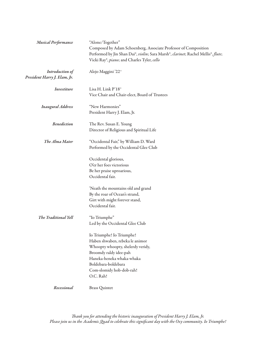| <b>Musical Performance</b>                      | "Alone/Together"<br>Composed by Adam Schoenberg, Associate Professor of Composition<br>Performed by Jin Shan Dai*, violin; Sara Marsh*, clarinet; Rachel Mellis*, flute;<br>Vicki Ray*, <i>piano</i> ; and Charles Tyler, cello |
|-------------------------------------------------|---------------------------------------------------------------------------------------------------------------------------------------------------------------------------------------------------------------------------------|
| Introduction of<br>President Harry J. Elam, Jr. | Alejo Maggini '22+                                                                                                                                                                                                              |
| <i>Investiture</i>                              | Lisa H. Link P'18 <sup>+</sup><br>Vice Chair and Chair-elect, Board of Trustees                                                                                                                                                 |
| <b>Inaugural Address</b>                        | "New Harmonies"<br>President Harry J. Elam, Jr.                                                                                                                                                                                 |
| <b>Benediction</b>                              | The Rev. Susan E. Young<br>Director of Religious and Spiritual Life                                                                                                                                                             |
| The Alma Mater                                  | "Occidental Fair," by William D. Ward<br>Performed by the Occidental Glee Club                                                                                                                                                  |
|                                                 | Occidental glorious,<br>O'er her foes victorious<br>Be her praise uproarious,<br>Occidental fair.                                                                                                                               |
|                                                 | 'Neath the mountains old and grand<br>By the roar of Ocean's strand,<br>Girt with might forever stand,<br>Occidental fair.                                                                                                      |
| The Traditional Yell                            | "Io Triumphe"<br>Led by the Occidental Glee Club                                                                                                                                                                                |
|                                                 | Io Triumphe! Io Triumphe!<br>Haben shwaben, rebeka le animor<br>Whoopty whoopty, shelerdy veridy,<br>Broomdy raldy idee-pah<br>Haneka-heneka whaka-whaka<br>Boldebara-boldebara<br>Com-slomidy hob-dob-rah!<br>O.C. Rah!        |
| Recessional                                     | <b>Brass Quintet</b>                                                                                                                                                                                                            |

Thank you for attending the historic inauguration of President Harry J. Elam, Jr. Please join us in the Academic Quad to celebrate this significant day with the Oxy community. Io Triumphe!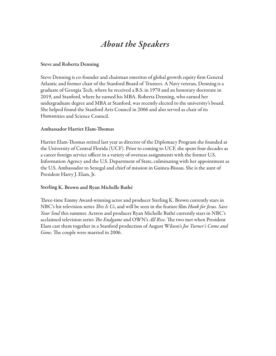## About the Speakers

#### Steve and Roberta Denning

Steve Denning is co-founder and chairman emeritus of global growth equity firm General Atlantic and former chair of the Stanford Board of Trustees. A Navy veteran, Denning is a graduate of Georgia Tech, where he received a B.S. in 1970 and an honorary doctorate in 2019, and Stanford, where he earned his MBA. Roberta Denning, who earned her undergraduate degree and MBA at Stanford, was recently elected to the university's board. She helped found the Stanford Arts Council in 2006 and also served as chair of its Humanities and Science Council.

#### Ambassador Harriet Elam-Thomas

Harriet Elam-Thomas retired last year as director of the Diplomacy Program she founded at the University of Central Florida (UCF). Prior to coming to UCF, she spent four decades as a career foreign service officer in a variety of overseas assignments with the former U.S. Information Agency and the U.S. Department of State, culminating with her appointment as the U.S. Ambassador to Senegal and chief of mission in Guinea-Bissau. She is the aunt of President Harry J. Elam, Jr.

#### Sterling K. Brown and Ryan Michelle Bathé

Three-time Emmy Award-winning actor and producer Sterling K. Brown currently stars in NBC's hit television series *This Is Us*, and will be seen in the feature film *Honk for Jesus. Save* Your Soul this summer. Actress and producer Ryan Michelle Bathé currently stars in NBC's acclaimed television series *The Endgame* and OWN's *All Rise*. The two met when President Elam cast them together in a Stanford production of August Wilson's Joe Turner's Come and Gone. The couple were married in 2006.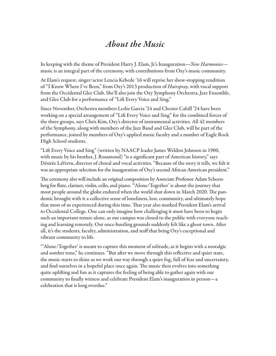## About the Music

In keeping with the theme of President Harry J. Elam, Jr.'s Inauguration—New Harmonies music is an integral part of the ceremony, with contributions from Oxy's music community.

At Elam's request, singer/actor Lencia Kebede '16 will reprise her show-stopping rendition of "I Know Where I've Been," from Oxy's 2013 production of *Hairspray*, with vocal support from the Occidental Glee Club. She'll also join the Oxy Symphony Orchestra, Jazz Ensemble, and Glee Club for a performance of "Lift Every Voice and Sing."

Since November, Orchestra members Leslie Garcia '24 and Chester Cahill '24 have been working on a special arrangement of "Lift Every Voice and Sing" for the combined forces of the three groups, says Chris Kim, Oxy's director of instrumental activities. All 42 members of the Symphony, along with members of the Jazz Band and Glee Club, will be part of the performance, joined by members of Oxy's applied music faculty and a number of Eagle Rock High School students.

"Lift Every Voice and Sing" (written by NAACP leader James Weldon Johnson in 1900, with music by his brother, J. Rosamond) "is a significant part of American history," says Désirée LaVertu, director of choral and vocal activities. "Because of the story it tells, we felt it was an appropriate selection for the inauguration of Oxy's second African American president."

The ceremony also will include an original composition by Associate Professor Adam Schoenberg for flute, clarinet, violin, cello, and piano. "'Alone/Together' is about the journey that most people around the globe endured when the world shut down in March 2020. The pandemic brought with it a collective sense of loneliness, loss, community, and ultimately hope that most of us experienced during this time. That year also marked President Elam's arrival to Occidental College. One can only imagine how challenging it must have been to begin such an important tenure alone, as our campus was closed to the public with everyone teaching and learning remotely. Our once-bustling grounds suddenly felt like a ghost town. After all, it's the students, faculty, administration, and staff that bring Oxy's exceptional and vibrant community to life.

" 'Alone/Together' is meant to capture this moment of solitude, as it begins with a nostalgic and somber tone," he continues. "But after we move through this reflective and quiet state, the music starts to shine as we work our way through a quiet fog, full of fear and uncertainty, and find ourselves in a hopeful place once again. The music then evolves into something quite uplifting and fun as it captures the feeling of being able to gather again with our community to finally witness and celebrate President Elam's inauguration in person—a celebration that is long overdue."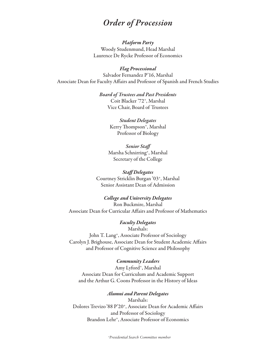## Order of Procession

*Platform Party*  Woody Studenmund, Head Marshal Laurence De Rycke Professor of Economics

*Flag Processional* Salvador Fernandez P'16, Marshal Associate Dean for Faculty Affairs and Professor of Spanish and French Studies

> Board of Trustees and Past Presidents Coit Blacker '72+, Marshal Vice Chair, Board of Trustees

> > Student Delegates Kerry Thompson<sup>+</sup>, Marshal Professor of Biology

Senior Staff Marsha Schnirring+, Marshal Secretary of the College

*Staff Delegates*  Courtney Stricklin Burgan '03+, Marshal Senior Assistant Dean of Admission

#### *College and University Delegates*

Ron Buckmire, Marshal Associate Dean for Curricular Affairs and Professor of Mathematics

#### *Faculty Delegates*

Marshals: John T. Lang+, Associate Professor of Sociology Carolyn J. Brighouse, Associate Dean for Student Academic Affairs and Professor of Cognitive Science and Philosophy

#### *Community Leaders*

Amy Lyford+, Marshal Associate Dean for Curriculum and Academic Support and the Arthur G. Coons Professor in the History of Ideas

*Alumni and Parent Delegates*  Marshals: Dolores Trevizo'88 P'20<sup>+</sup>, Associate Dean for Academic Affairs and Professor of Sociology Brandon Lehr+, Associate Professor of Economics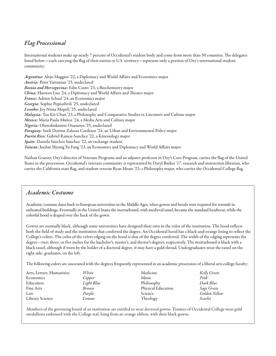#### Flag Processional

International students make up nearly 7 percent of Occidental's student body and come from more than 50 countries. The delegates listed below—each carrying the flag of their nation or U.S. territory—represent only a portion of Oxy's international student community.

Argentina: Alejo Maggini '22, a Diplomacy and World Affairs and Economics major Austria: Peter Vartanian '25, undeclared Bosnia and Herzegovina: Edin Custo '23, a Biochemistry major China: Haowen Luo '24, a Diplomacy and World Affairs and Theater major France: Adrien Schaal '24, an Economics major Georgia: Sophie Popiashvili '25, undeclared Lesotho: Joy Ntina Mopeli '25, undeclared Malaysia: Tzu Kit Chan '23, a Philosophy and Comparative Studies in Literature and Culture major Mexico: Maria Paula Muñoz '24, a Media Arts and Culture major Nigeria: Oluwabukunmi Onasanya '25, undeclared Paraguay: Sueli Denisse Zalazar Cardenas '24, an Urban and Environmental Policy major Puerto Rico: Gabriel Ramos-Sanchez '22, a Kinesiology major Spain: Daniela Sánchez Sánchez '22, an exchange student Taiwan: Jordan Shyang Yu Fang '23, an Economics and Diplomacy and World Affairs major

Nathan Graeser, Oxy's director of Veterans Programs and an adjunct professor in Oxy's Core Program, carries the flag of the United States in the procession. Occidental's veterans community is represented by Daryl Barker '17, research and instruction librarian, who carries the California state flag, and student veteran Ryan Moats '23, a Philosophy major, who carries the Occidental College flag.

#### Academic Costume

Academic costume dates back to European universities in the Middle Ages, when gowns and hoods were required for warmth in unheated buildings. Eventually in the United States the mortarboard, with medieval tassel, became the standard headwear, while the colorful hood is draped over the back of the gown.

Gowns are normally black, although some universities have designed their own in the color of the institution. The hood reflects both the field of study and the institution that conferred the degree. An Occidental hood has a black-and-orange lining to reflect the College's colors. The color of the velvet edging on the hood is that of the degree conferred. The width of the edging represents the degree—two, three, or five inches for the bachelor's, master's, and doctor's degrees, respectively. The mortarboard is black with a black tassel, although if worn by the holder of a doctoral degree, it may have a gold thread. Undergraduates wear the tassel on the right side; graduates, on the left.

The following colors are associated with the degrees frequently represented in an academic procession of a liberal arts college faculty:

| Arts, Letters, Humanities | White      | Medicine           | Kelly Green   |
|---------------------------|------------|--------------------|---------------|
| Economics                 | Copper     | Music              | Pink          |
| Education                 | Light Blue | Philosophy         | Dark Blue     |
| Fine Arts                 | Brown      | Physical Education | Sage Green    |
| Law                       | Purple     | Science            | Golden Yellow |
| Library Science           | Lemon      | Theology           | Scarlet       |

Members of the governing board of an institution are entitled to wear doctoral gowns. Trustees of Occidental College wear gold medallions embossed with the College seal, hung from an orange ribbon, with their black gowns.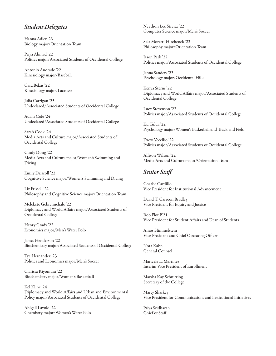#### Student Delegates

Hanna Adler '23 Biology major/Orientation Team

Priya Ahmad '22 Politics major/Associated Students of Occidental College

Antonio Andrade '22 Kinesiology major/Baseball

Cara Bekas '22 Kinesiology major/Lacrosse

Julia Carrigan '25 Undeclared/Associated Students of Occidental College

Adam Cole '24 Undeclared/Associated Students of Occidental College

Sarah Cook '24 Media Arts and Culture major/Associated Students of Occidental College

Cindy Dong '22 Media Arts and Culture major/Women's Swimming and Diving

Emily Driscoll '22 Cognitive Science major/Women's Swimming and Diving

Liz Frissell '22 Philosophy and Cognitive Science major/Orientation Team

Melekete Gebremichale '22 Diplomacy and World Affairs major/Associated Students of Occidental College

Henry Grady '22 Economics major/Men's Water Polo

James Henderson '22 Biochemistry major/Associated Students of Occidental College

Tye Hernandez '23 Politics and Economics major/Men's Soccer

Clarissa Kiyomura '22 Biochemistry major/Women's Basketball

Kel Kline '24 Diplomacy and World Affairs and Urban and Environmental Policy major/Associated Students of Occidental College

Abigail Lavold '22 Chemistry major/Women's Water Polo Neython Lec Streitz '22 Computer Science major/Men's Soccer

Sela Moretti-Hitchcock '22 Philosophy major/Orientation Team

Jason Park '22 Politics major/Associated Students of Occidental College

Jenna Sanders '23 Psychology major/Occidental Hillel

Kenya Sterns '22 Diplomacy and World Affairs major/Associated Students of Occidental College

Lucy Stevenson '22 Politics major/Associated Students of Occidental College

Ku Tulua '22 Psychology major/Women's Basketball and Track and Field

Drew Vecellio '22 Politics major/Associated Students of Occidental College

Allison Wilson '22 Media Arts and Culture major/Orientation Team

#### Senior Staff

Charlie Cardillo Vice President for Institutional Advancement

David T. Carreon Bradley Vice President for Equity and Justice

Rob Flot P'21 Vice President for Student Affairs and Dean of Students

Amos Himmelstein Vice President and Chief Operating Officer

Nora Kahn General Counsel

Maricela L. Martinez Interim Vice President of Enrollment

Marsha Kay Schnirring Secretary of the College

Marty Sharkey Vice President for Communications and Institutional Initiatives

Priya Sridharan Chief of Staff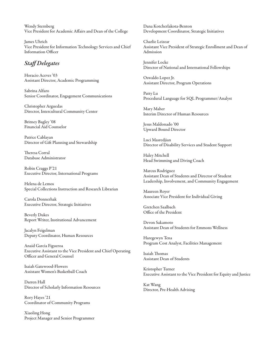Wendy Sternberg Vice President for Academic Affairs and Dean of the College

James Uhrich Vice President for Information Technology Services and Chief Information Officer

#### Staff Delegates

Horacio Aceves '03 Assistant Director, Academic Programming

Sabrina Alfaro Senior Coordinator, Engagement Communications

Christopher Arguedas Director, Intercultural Community Center

Britney Bagley '08 Financial Aid Counselor

Patrice Cablayan Director of Gift Planning and Stewardship

Theresa Corral Database Administrator

Robin Craggs P'21 Executive Director, International Programs

Helena de Lemos Special Collections Instruction and Research Librarian

Carola Donnerhak Executive Director, Strategic Initiatives

Beverly Dukes Report Writer, Institutional Advancement

Jacalyn Feigelman Deputy Coordinator, Human Resources

Anaid Garcia Figueroa Executive Assistant to the Vice President and Chief Operating Officer and General Counsel

Isaiah Gatewood-Flowers Assistant Women's Basketball Coach

Darren Hall Director of Scholarly Information Resources

Rory Hayes '21 Coordinator of Community Programs

Xiaoling Hong Project Manager and Senior Programmer Dana Kotcherlakota-Benton Development Coordinator, Strategic Initiatives

Charlie Leizear Assistant Vice President of Strategic Enrollment and Dean of Admission

Jennifer Locke Director of National and International Fellowships

Oswaldo Lopez Jr. Assistant Director, Program Operations

Patty Lu Procedural Language for SQL Programmer/Analyst

Mary Maher Interim Director of Human Resources

Jesus Maldonado '00 Upward Bound Director

Luci Masredjian Director of Disability Services and Student Support

Haley Mitchell Head Swimming and Diving Coach

Marcus Rodriguez Assistant Dean of Students and Director of Student Leadership, Involvement, and Community Engagement

Maureen Royer Associate Vice President for Individual Giving

Gretchen Saalbach Office of the President

Devon Sakamoto Assistant Dean of Students for Emmons Wellness

Haregewyn Tena Program Cost Analyst, Facilities Management

Isaiah Thomas Assistant Dean of Students

Kristopher Turner Executive Assistant to the Vice President for Equity and Justice

Kat Wang Director, Pre-Health Advising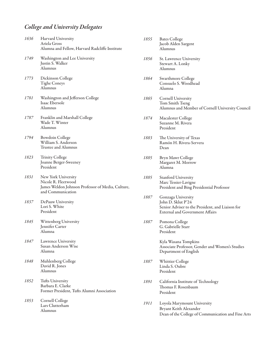## College and University Delegates

| 1636 | Harvard University<br>Ariela Gross<br>Alumna and Fellow, Harvard Radcliffe Institute                                 | 1855 | <b>Bates College</b><br>Jacob Alden Sargent<br>Alumnus                                                                                 |
|------|----------------------------------------------------------------------------------------------------------------------|------|----------------------------------------------------------------------------------------------------------------------------------------|
| 1749 | Washington and Lee University<br>Justin S. Walker<br>Alumnus                                                         | 1856 | St. Lawrence University<br>Stewart A. Lonky<br>Alumnus                                                                                 |
| 1773 | Dickinson College<br><b>Tighe Coneys</b><br>Alumnus                                                                  | 1864 | Swarthmore College<br>Consuelo S. Woodhead<br>Alumna                                                                                   |
| 1781 | Washington and Jefferson College<br>Isaac Ebersole<br>Alumnus                                                        | 1865 | Cornell University<br>Tom Smith Tseng<br>Alumnus and Member of Cornell University Council                                              |
| 1787 | Franklin and Marshall College<br>Wade T. Winter<br>Alumnus                                                           | 1874 | Macalester College<br>Suzanne M. Rivera<br>President                                                                                   |
| 1794 | <b>Bowdoin College</b><br>William S. Anderson<br>Trustee and Alumnus                                                 | 1883 | The University of Texas<br>Ramón H. Rivera-Servera<br>Dean                                                                             |
| 1823 | <b>Trinity College</b><br>Joanne Berger-Sweeney<br>President                                                         | 1885 | Bryn Mawr College<br>Margaret M. Morrow<br>Alumna                                                                                      |
| 1831 | New York University<br>Nicole R. Fleetwood<br>James Weldon Johnson Professor of Media, Culture,<br>and Communication | 1885 | <b>Stanford University</b><br>Marc Tessier-Lavigne<br>President and Bing Presidential Professor                                        |
| 1837 | DePauw University<br>Lori S. White<br>President                                                                      | 1887 | Gonzaga University<br>John D. Sklut P'24<br>Senior Adviser to the President, and Liaison for<br><b>External and Government Affairs</b> |
| 1845 | Wittenberg University<br>Jennifer Carter<br>Alumna                                                                   | 1887 | Pomona College<br>G. Gabrielle Starr<br>President                                                                                      |
| 1847 | Lawrence University<br>Susan Anderson Wise<br>Alumna                                                                 |      | Kyla Wasana Tompkins<br>Associate Professor, Gender and Women's Studies<br>Department of English                                       |
| 1848 | Muhlenberg College<br>David R. Jones<br>Alumnus                                                                      | 1887 | Whittier College<br>Linda S. Oubre<br>President                                                                                        |
| 1852 | Tufts University<br>Barbara E. Clarke<br>Former President, Tufts Alumni Association                                  | 1891 | California Institute of Technology<br>Thomas F. Rosenbaum<br>President                                                                 |
| 1853 | Cornell College<br>Lars Clutterham<br>Alumnus                                                                        | 1911 | Loyola Marymount University<br>Bryant Keith Alexander<br>Dean of the College of Communication and Fine Arts                            |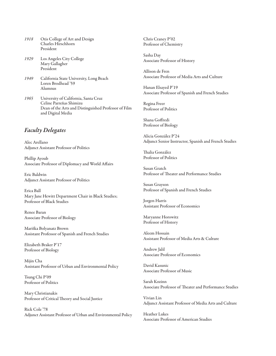- 1918 Otis College of Art and Design Charles Hirschhorn President
- 1929 Los Angeles City College Mary Gallagher President
- 1949 California State University, Long Beach Loren Brodhead '59 Alumnus
- 1965 University of California, Santa Cruz Celine Parreñas Shimizu Dean of the Arts and Distinguished Professor of Film and Digital Media

#### Faculty Delegates

Alec Arellano Adjunct Assistant Professor of Politics

Phillip Ayoub Associate Professor of Diplomacy and World Affairs

Eric Baldwin Adjunct Assistant Professor of Politics

Erica Ball Mary Jane Hewitt Department Chair in Black Studies; Professor of Black Studies

Renee Baran Associate Professor of Biology

Mariška Bolyanatz Brown Assistant Professor of Spanish and French Studies

Elizabeth Braker P'17 Professor of Biology

Mijin Cha Assistant Professor of Urban and Environmental Policy

Tsung Chi P'09 Professor of Politics

Mary Christianakis Professor of Critical Theory and Social Justice

Rick Cole '78 Adjunct Assistant Professor of Urban and Environmental Policy Chris Craney P'02 Professor of Chemistry

Sasha Day Associate Professor of History

Allison de Fren Associate Professor of Media Arts and Culture

Hanan Elsayed P'19 Associate Professor of Spanish and French Studies

Regina Freer Professor of Politics

Shana Goffredi Professor of Biology

Alicia González P'24 Adjunct Senior Instructor, Spanish and French Studies

Thalia González Professor of Politics

Susan Gratch Professor of Theater and Performance Studies

Susan Grayson Professor of Spanish and French Studies

Jorgen Harris Assistant Professor of Economics

Maryanne Horowitz Professor of History

Aleem Hossain Assistant Professor of Media Arts & Culture

Andrew Jalil Associate Professor of Economics

David Kasunic Associate Professor of Music

Sarah Kozinn Associate Professor of Theater and Performance Studies

Vivian Lin Adjunct Assistant Professor of Media Arts and Culture

Heather Lukes Associate Professor of American Studies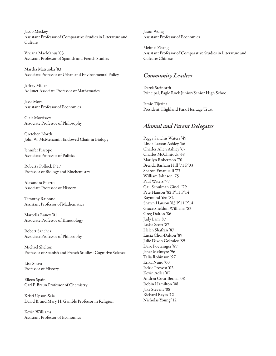Jacob Mackey Assistant Professor of Comparative Studies in Literature and Culture

Viviana MacManus '03 Assistant Professor of Spanish and French Studies

Martha Matsuoka '83 Associate Professor of Urban and Environmental Policy

Jeffrey Miller Adjunct Associate Professor of Mathematics

Jesse Mora Assistant Professor of Economics

Clair Morrissey Associate Professor of Philosophy

Gretchen North John W. McMenamin Endowed Chair in Biology

Jennifer Piscopo Associate Professor of Politics

Roberta Pollock P'17 Professor of Biology and Biochemistry

Alexandra Puerto Associate Professor of History

Timothy Rainone Assistant Professor of Mathematics

Marcella Raney '01 Associate Professor of Kinesiology

Robert Sanchez Associate Professor of Philosophy

Michael Shelton Professor of Spanish and French Studies; Cognitive Science

Lisa Sousa Professor of History

Eileen Spain Carl F. Braun Professor of Chemistry

Kristi Upson-Saia David B. and Mary H. Gamble Professor in Religion

Kevin Williams Assistant Professor of Economics Jason Wong Assistant Professor of Economics

Meimei Zhang Assistant Professor of Comparative Studies in Literature and Culture/Chinese

#### Community Leaders

Derek Steinorth Principal, Eagle Rock Junior/Senior High School

Jamie Tijerina President, Highland Park Heritage Trust

#### Alumni and Parent Delegates

Peggy Sanchis Waters '49 Linda Larson Ashley '66 Charles Allen Ashley '67 Charles McClintock '68 Marilyn Robertson '70 Brenda Barham Hill '71 P'03 Sharon Emanuelli '73 William Johnson '75 Paul Waters '77 Gail Schulman Ginell '79 Pete Hanson '82 P'11 P'14 Raymond Yen '82 Shawn Hanson '83 P'11 P'14 Grace Sheldon-Williams '83 Greg Dalton '86 Judy Lam '87 Leslie Scott '87 Helen Shafran '87 Lucia Choi-Dalton '89 Julie Dixon Golzalez '89 Dave Poetzinger '89 Janet McIntyre '96 Talia Robinson '97 Erika Nuno '00 Jackie Provost '02 Kevin Adler '07 Andrea Cova-Bernal '08 Robin Hamilton '08 Jake Stevens '08 Richard Reyes '12 Nicholas Young '12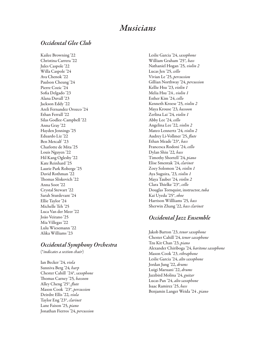### Musicians

#### Occidental Glee Club

Kailee Browning '22 Christina Carrera '22 Jules Caspole '22 Willa Caspole '24 Ava Chenok '22 Paulson Cheung '24 Pierre Cozic '24 Sofia Delgado '23 Alana Duvall '23 Jackson Eddy '22 Areli Fernandez Orozco '24 Ethan Ferrall '22 Silas Godlee-Campbell '22 Anna Gray '22 Hayden Jennings '25 Eduardo Liz '22 Ben Metcalf '23 Charlotte de Mita '25 Louis Nguyen '22 Hil Kang Oglesby '22 Kate Reinhard '25 Laurie Park Roberge '25 David Rothman '22 Thomas Sliskovich '22 Anna Soot '22 Crystal Stewart '22 Sarah Sturdevant '24 Ellie Taylor '24 Michelle Teh '25 Luca Van der Meer '22 João Veirano '25 Mia Villegas '22 Lulu Wiesemann '22 Alika Williams '23

#### Occidental Symphony Orchestra

(\*indicates a section chair)

Ian Becker '24, viola Sunniva Berg '24, harp Chester Cahill '24\*, saxophone Thomas Carney '25, bassoon Alley Cheng '25\*, flute Mason Cook '23\*, percussion Deirdre Ellis '22, viola Taylor Eng '23\*, clarinet Lane Faison '25, piano Jonathan Fierros '24, percussion Leslie Garcia '24, saxophone William Graham '25\*, bass Nathaniel Hogan '25, violin 2 Lucas Jen '25, cello Vivian Le '25, percussion Gillian Northway '24, percussion Kellie Hsu '23, violin 1 Melia Hsu '24 , violin 1 Esther Kim '24, cello Kenneth Kroese '25, violin 2 Maya Krouse '23, bassoon Zerlina Lai '24, violin 1 Abby Lee '24, cello Angelina Lee '22, violin 2 Mateo Lennertz '24, violin 2 Audrey Li-Vollmer '25, flute Ethan Meade '23\*, bass Francesca Rodoni '24, cello Dylan Shiu '22, bass Timothy Shortell '24, piano Elise Smentak '24, clarinet Zoey Solomon '24, violin 1 Aya Suguira, '23, violin 1 Maya Tauber '24, violin 2 Clara Thielke '23\*, cello Douglas Tornquist, instructor, tuba Kai Uyeda '25\*, oboe Harrison Willliams '25, bass Sherwin Zhang '22, bass clarinet

#### Occidental Jazz Ensemble

Jakob Barton '23, tenor saxophone Chester Cahill '24, tenor saxophone Tzu Kit Chan '23, piano Alexander Chiriboga '24, baritone saxophone Mason Cook '23, vibraphone Leslie Garcia '24, alto saxophone Jordan Jung '22, drums Luigi Maruani '22, drums Jazzbird Molina '24, guitar Lucas Pan '24, alto saxophone Isaac Ramirez '25, bass Benjamin Langer Weida '24 , piano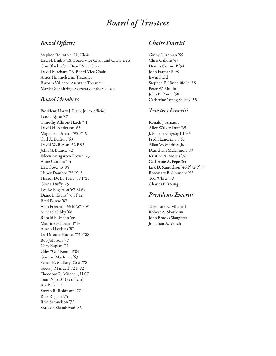## Board of Trustees

#### Board Officers

Stephen Rountree '71, Chair Lisa H. Link P'18, Board Vice Chair and Chair-elect Coit Blacker '72, Board Vice Chair David Burcham '73, Board Vice Chair Amos Himmelstein, Treasurer Barbara Valiente, Assistant Treasurer Marsha Schnirring, Secretary of the College

#### Board Members

President Harry J. Elam, Jr. (ex officio) Lande Ajose '87 Timothy Allison-Hatch '71 David H. Anderson '63 Magdalena Arenas '92 P'19 Carl A. Ballton '69 David W. Berkus '62 P'95 John G. Branca '72 Eileen Anisgarten Brown '73 Anne Cannon '74 Lisa Coscino '85 Nancy Dambro '75 P'13 Hector De La Torre '89 P'20 Gloria Duffy '75 Louise Edgerton '67 M'69 Diane L. Evans '76 H'12 Brad Fauvre '87 Alan Freeman '66 M'67 P'91 Michael Gibby '68 Ronald R. Hahn '66 Maurine Halperin P'16 Alison Hawkins '87 Lori Moore Hunter '79 P'08 Bob Johnson '77 Gary Kaplan '71 Giles "Gil" Kemp P'04 Gordon MacInnes '63 Susan H. Mallory '76 M'78 Greta J. Mandell '72 P'92 Theodore R. Mitchell, H'07 Tuan Ngo '07 (ex officio) Art Peck '77 Steven R. Robinson '77 Rick Rugani '75 Reid Samuelson '72 Soroosh Shambayati '86

#### Chairs Emeriti

Ginny Cushman '55 Chris Calkins '67 Dennis Collins P '94 John Farmer P'98 Irwin Field Stephen F. Hinchliffe Jr. '55 Peter W. Mullin John B. Power '58 Catherine Young Selleck '55

#### Trustees Emeriti

Ronald J. Arnault Alice Walker Duff '69 J. Eugene Grigsby III '66 Fred Hameetman '61 Allen W. Mathies, Jr. Daniel Ian McKinnon '89 Kristine A. Morris '76 Catherine A. Pepe '64 Jack D. Samuelson '46 P'72 P'77 Rosemary B. Simmons '53 Tod White '59 Charles E. Young

#### Presidents Emeriti

Theodore R. Mitchell Robert A. Skotheim John Brooks Slaughter Jonathan A. Veitch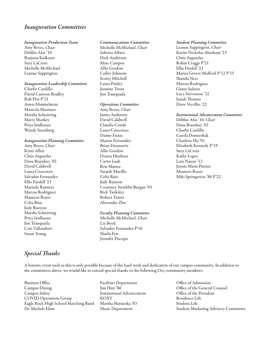#### Inauguration Committees

#### Inauguration Production Team

Amy Reyes, Chair Debbie Afar '10 Ranjana Kulkarni Suzy LaCroix Michelle McMichael Leanne Sappington

Inauguration Leadership Committee Charlie Cardillo David Carreon Bradley Rob Flot P'21 Amos Himmelstein Maricela Martinez Marsha Schnirring Marty Sharkey Priya Sridharan Wendy Sternberg

Inauguration Planning Committee Amy Reyes, Chair Kristi Allen Chris Arguedas Dana Brandsey '02 David Caldwell Laura Crescenzo Salvador Fernandez Ellie Findell '23 Marisela Ramirez Marcus Rodriguez Maureen Royer Celia Ruiz Judy Runyon Marsha Schnirring Priya Sridharan Jim Tranquada Cori Vallembois Susan Young

Communications Committee Michelle McMichael, Chair Sabrina Alfaro Dick Anderson Marc Campos Allie Gordon Culley Johnson Scotty Mitchell Laura Paisley Jasmine Teran Jim Tranquada

#### Operations Committee

Amy Reyes, Chair James Andersen David Caldwell Claudia Conde Laura Crescenzo Danny Farias Martin Fernandez Brian Fitzmorris Allie Gordon Donna Huebner Curtis Lush Ron Munoz Saraith Murillo Celia Ruiz Judy Runyon Courtney Stricklin Burgan '03 Rick Tanksley Robert Torres Alexander Zhu

#### Faculty Planning Committee Michelle McMichael, Chair Liz Boyd Salvador Fernandez P'16 Sharla Fett Jennifer Piscopo

Student Planning Committee Leanne Sappington, Chair Karim Nicholas Abraham '23 Chris Arguedas Robin Craggs P'21 Ellie Findell '23 Marisa Grover Mofford P'12 P'15 Shanda Ness Marcus Rodriguez Ginny Salazar Lucy Stevenson '22 Isaiah Thomas Drew Vecellio '22

#### Institutional Advancement Committee

Debbie Afar '10, Chair Dana Brandsey '02 Charlie Cardillo Carola Donnerhak Charlene Ho '01 Elizabeth Kennedy P'19 Suzy LaCroix Kathy Lopez Lara Nassar '12 Jennie Marie Petrini Maureen Royer Miki Springsteen '86 P'22

#### Special Thanks

A historic event such as this is only possible because of the hard work and dedication of our campus community. In addition to the committees above, we would like to extend special thanks to the following Oxy community members:

Business Office Campus Dining Campus Safety COVID Operations Group Eagle Rock High School Marching Band Dr. Michele Elam

Facilities Department Jim Herr '86 Institutional Advancement KOXY Martha Matsuoka '83 Music Department

Office of Admission Office of the General Counsel Office of the President Residence Life Student Life Student Marketing Advisory Committee